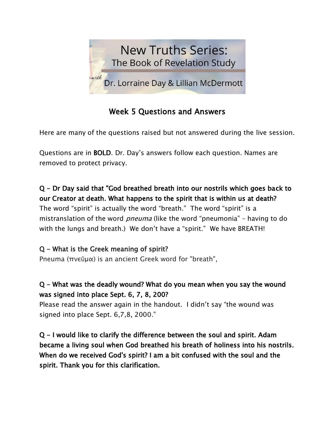

# Week 5 Questions and Answers

Here are many of the questions raised but not answered during the live session.

Questions are in BOLD. Dr. Day's answers follow each question. Names are removed to protect privacy.

Q - Dr Day said that "God breathed breath into our nostrils which goes back to our Creator at death. What happens to the spirit that is within us at death? The word "spirit" is actually the word "breath." The word "spirit" is a mistranslation of the word *pneuma* (like the word "pneumonia" – having to do with the lungs and breath.) We don't have a "spirit." We have BREATH!

## Q - What is the Greek meaning of spirit?

Pneuma (πνεῦμα) is an ancient Greek word for "breath",

### Q - What was the deadly wound? What do you mean when you say the wound was signed into place Sept. 6, 7, 8, 200?

Please read the answer again in the handout. I didn't say "the wound was signed into place Sept. 6,7,8, 2000."

Q - I would like to clarify the difference between the soul and spirit. Adam became a living soul when God breathed his breath of holiness into his nostrils. When do we received God's spirit? I am a bit confused with the soul and the spirit. Thank you for this clarification.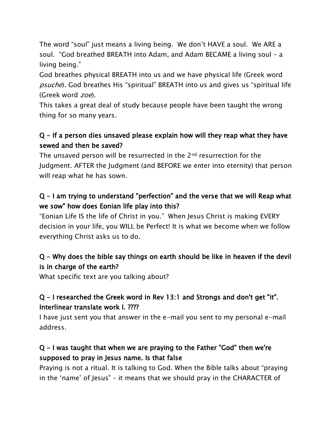The word "soul" just means a living being. We don't HAVE a soul. We ARE a soul. "God breathed BREATH into Adam, and Adam BECAME a living soul – a living being."

God breathes physical BREATH into us and we have physical life (Greek word psuche). God breathes His "spiritual" BREATH into us and gives us "spiritual life (Greek word zoe).

This takes a great deal of study because people have been taught the wrong thing for so many years.

### Q - If a person dies unsaved please explain how will they reap what they have sewed and then be saved?

The unsaved person will be resurrected in the 2nd resurrection for the Judgment. AFTER the Judgment (and BEFORE we enter into eternity) that person will reap what he has sown.

## Q - I am trying to understand "perfection" and the verse that we will Reap what we sow" how does Eonian life play into this?

"Eonian Life IS the life of Christ in you." When Jesus Christ is making EVERY decision in your life, you WILL be Perfect! It is what we become when we follow everything Christ asks us to do.

## Q - Why does the bible say things on earth should be like in heaven if the devil is in charge of the earth?

What specific text are you talking about?

### Q - I researched the Greek word in Rev 13:1 and Strongs and don't get "it". Interlinear translate work I. ????

I have just sent you that answer in the e-mail you sent to my personal e-mail address.

### Q - I was taught that when we are praying to the Father "God" then we're supposed to pray in Jesus name. Is that false

Praying is not a ritual. It is talking to God. When the Bible talks about "praying in the 'name' of Jesus" – it means that we should pray in the CHARACTER of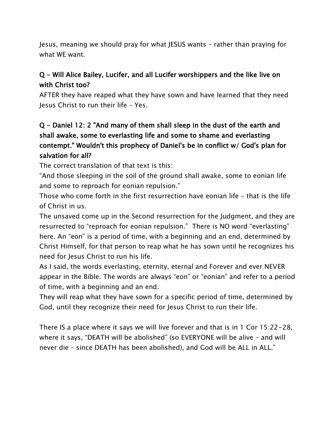Jesus, meaning we should pray for what JESUS wants – rather than praying for what WE want.

#### Q - Will Alice Bailey, Lucifer, and all Lucifer worshippers and the like live on with Christ too?

AFTER they have reaped what they have sown and have learned that they need Jesus Christ to run their life – Yes.

### Q - Daniel 12: 2 "And many of them shall sleep in the dust of the earth and shall awake, some to everlasting life and some to shame and everlasting contempt." Wouldn't this prophecy of Daniel's be in conflict w/ God's plan for salvation for all?

The correct translation of that text is this:

"And those sleeping in the soil of the ground shall awake, some to eonian life and some to reproach for eonian repulsion."

Those who come forth in the first resurrection have eonian life – that is the life of Christ in us.

The unsaved come up in the Second resurrection for the Judgment, and they are resurrected to "reproach for eonian repulsion." There is NO word "everlasting" here. An "eon" is a period of time, with a beginning and an end, determined by Christ Himself, for that person to reap what he has sown until he recognizes his need for Jesus Christ to run his life.

As I said, the words everlasting, eternity, eternal and Forever and ever NEVER appear in the Bible. The words are always "eon" or "eonian" and refer to a period of time, with a beginning and an end.

They will reap what they have sown for a specific period of time, determined by God, until they recognize their need for Jesus Christ to run their life.

There IS a place where it says we will live forever and that is in 1 Cor 15:22-28, where it says, "DEATH will be abolished" (so EVERYONE will be alive – and will never die – since DEATH has been abolished), and God will be ALL in ALL."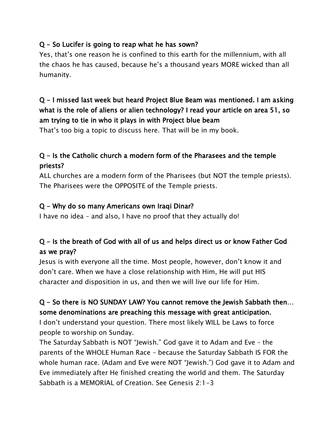#### Q - So Lucifer is going to reap what he has sown?

Yes, that's one reason he is confined to this earth for the millennium, with all the chaos he has caused, because he's a thousand years MORE wicked than all humanity.

## Q - I missed last week but heard Project Blue Beam was mentioned. I am asking what is the role of aliens or alien technology? I read your article on area 51, so am trying to tie in who it plays in with Project blue beam

That's too big a topic to discuss here. That will be in my book.

## Q - Is the Catholic church a modern form of the Pharasees and the temple priests?

ALL churches are a modern form of the Pharisees (but NOT the temple priests). The Pharisees were the OPPOSITE of the Temple priests.

#### Q - Why do so many Americans own Iraqi Dinar?

I have no idea – and also, I have no proof that they actually do!

### Q - Is the breath of God with all of us and helps direct us or know Father God as we pray?

Jesus is with everyone all the time. Most people, however, don't know it and don't care. When we have a close relationship with Him, He will put HIS character and disposition in us, and then we will live our life for Him.

### Q - So there is NO SUNDAY LAW? You cannot remove the Jewish Sabbath then… some denominations are preaching this message with great anticipation.

I don't understand your question. There most likely WILL be Laws to force people to worship on Sunday.

The Saturday Sabbath is NOT "Jewish." God gave it to Adam and Eve – the parents of the WHOLE Human Race – because the Saturday Sabbath IS FOR the whole human race. (Adam and Eve were NOT "Jewish.") God gave it to Adam and Eve immediately after He finished creating the world and them. The Saturday Sabbath is a MEMORIAL of Creation. See Genesis 2:1-3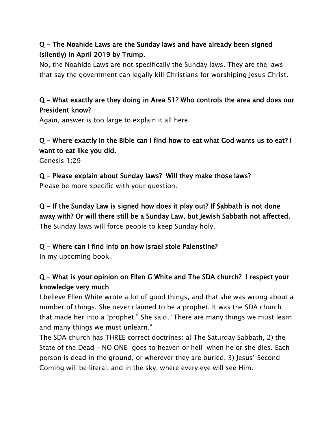### Q - The Noahide Laws are the Sunday laws and have already been signed (silently) in April 2019 by Trump.

No, the Noahide Laws are not specifically the Sunday laws. They are the laws that say the government can legally kill Christians for worshiping Jesus Christ.

#### Q - What exactly are they doing in Area 51? Who controls the area and does our President know?

Again, answer is too large to explain it all here.

#### Q - Where exactly in the Bible can I find how to eat what God wants us to eat? I want to eat like you did.

Genesis 1:29

#### Q - Please explain about Sunday laws? Will they make those laws? Please be more specific with your question.

Q - If the Sunday Law is signed how does it play out? If Sabbath is not done away with? Or will there still be a Sunday Law, but Jewish Sabbath not affected. The Sunday laws will force people to keep Sunday holy.

#### Q - Where can I find info on how Israel stole Palenstine?

In my upcoming book.

## Q - What is your opinion on Ellen G White and The SDA church? I respect your knowledge very much

I believe Ellen White wrote a lot of good things, and that she was wrong about a number of things. She never claimed to be a prophet. It was the SDA church that made her into a "prophet." She said, "There are many things we must learn and many things we must unlearn."

The SDA church has THREE correct doctrines: a) The Saturday Sabbath, 2) the State of the Dead – NO ONE "goes to heaven or hell" when he or she dies. Each person is dead in the ground, or wherever they are buried, 3) Jesus' Second Coming will be literal, and in the sky, where every eye will see Him.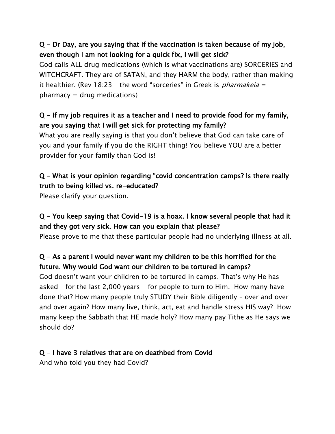## Q - Dr Day, are you saying that if the vaccination is taken because of my job, even though I am not looking for a quick fix, I will get sick?

God calls ALL drug medications (which is what vaccinations are) SORCERIES and WITCHCRAFT. They are of SATAN, and they HARM the body, rather than making it healthier. (Rev 18:23 – the word "sorceries" in Greek is *pharmakeia* =  $pharmacy = drug\:$ 

### Q - If my job requires it as a teacher and I need to provide food for my family, are you saying that I will get sick for protecting my family?

What you are really saying is that you don't believe that God can take care of you and your family if you do the RIGHT thing! You believe YOU are a better provider for your family than God is!

## Q - What is your opinion regarding "covid concentration camps? Is there really truth to being killed vs. re-educated?

Please clarify your question.

## Q - You keep saying that Covid-19 is a hoax. I know several people that had it and they got very sick. How can you explain that please?

Please prove to me that these particular people had no underlying illness at all.

## Q - As a parent I would never want my children to be this horrified for the future. Why would God want our children to be tortured in camps?

God doesn't want your children to be tortured in camps. That's why He has asked – for the last 2,000 years - for people to turn to Him. How many have done that? How many people truly STUDY their Bible diligently – over and over and over again? How many live, think, act, eat and handle stress HIS way? How many keep the Sabbath that HE made holy? How many pay Tithe as He says we should do?

#### Q - I have 3 relatives that are on deathbed from Covid

And who told you they had Covid?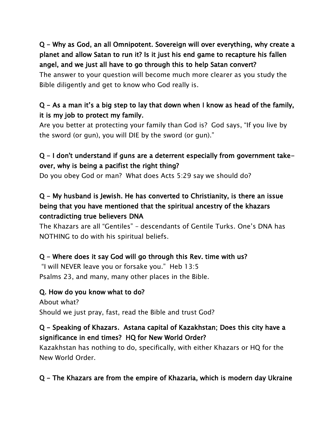Q - Why as God, an all Omnipotent. Sovereign will over everything, why create a planet and allow Satan to run it? Is it just his end game to recapture his fallen angel, and we just all have to go through this to help Satan convert?

The answer to your question will become much more clearer as you study the Bible diligently and get to know who God really is.

### $Q$  – As a man it's a big step to lay that down when I know as head of the family, it is my job to protect my family.

Are you better at protecting your family than God is? God says, "If you live by the sword (or gun), you will DIE by the sword (or gun)."

## Q - I don't understand if guns are a deterrent especially from government takeover, why is being a pacifist the right thing?

Do you obey God or man? What does Acts 5:29 say we should do?

## Q - My husband is Jewish. He has converted to Christianity, is there an issue being that you have mentioned that the spiritual ancestry of the khazars contradicting true believers DNA

The Khazars are all "Gentiles" – descendants of Gentile Turks. One's DNA has NOTHING to do with his spiritual beliefs.

## Q - Where does it say God will go through this Rev. time with us?

"I will NEVER leave you or forsake you." Heb 13:5 Psalms 23, and many, many other places in the Bible.

#### Q. How do you know what to do?

About what? Should we just pray, fast, read the Bible and trust God?

### Q - Speaking of Khazars. Astana capital of Kazakhstan; Does this city have a significance in end times? HQ for New World Order?

Kazakhstan has nothing to do, specifically, with either Khazars or HQ for the New World Order.

# Q - The Khazars are from the empire of Khazaria, which is modern day Ukraine